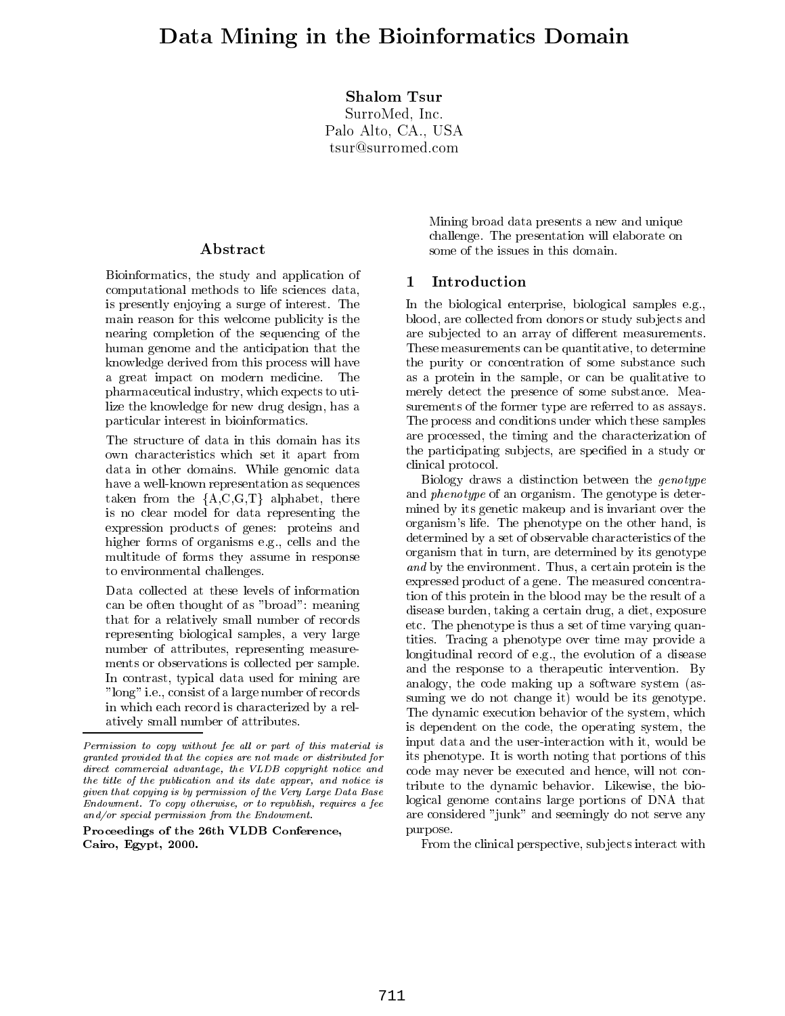## Shalom Tsur

SurroMed, Inc. Palo Alto, CA., USA tsur@surromed.com

## Abstract

Bioinformatics, the study and application of computational methods to life sciences data, is presently enjoying a surge of interest. The main reason for this welcome publicity is the nearing completion of the sequencing of the human genome and the anticipation that the knowledge derived from this process will have a great impact on modern medicine. The pharmaceutical industry, which expects to utilize the knowledge for new drug design, has a particular interest in bioinformatics.

The structure of data in this domain has its own characteristics which set it apart from data in other domains. While genomic data have a well-known representation as sequences taken from the  ${A, C, G, T}$  alphabet, there is no clear model for data representing the expression products of genes: proteins and higher forms of organisms e.g., cells and the multitude of forms they assume in response to environmental challenges.

Data collected at these levels of information can be often thought of as "broad": meaning that for a relatively small number of records representing biological samples, a very large number of attributes, representing measurements or observations is collected per sample. In contrast, typical data used for mining are "long" i.e., consist of a large number of records in which each record is characterized by a relatively small number of attributes.

Proceedings of the 26th VLDB Conference,Cairo, Egypt, 2000.

Mining broad data presents a new and unique challenge. The presentation will elaborate on some of the issues in this domain.

### Introduction  $\mathbf 1$

In the biological enterprise, biological samples e.g., blood, are collected from donors or study subjects and are subjected to an array of different measurements. These measurements can be quantitative, to determine the purity or concentration of some substance such as a protein in the sample, or can be qualitative to merely detect the presence of some substance. Measurements of the former type are referred to as assays. The process and conditions under which these samples are processed, the timing and the characterization of the participating subjects, are specified in a study or clinical protocol.

 its phenotype. It is worth noting that portions of this logical genome contains large portions of DNA that Biology draws a distinction between the genotype and phenotype of an organism. The genotype is determined by its genetic makeup and is invariant over the organism's life. The phenotype on the other hand, is determined by a set of observable characteristics of the organism that in turn, are determined by its genotype and by the environment. Thus, a certain protein protein is the environment. expressed product of a gene. The measured concentration of this protein in the blood may be the result of a disease burden, taking a certain drug, a diet, exposure etc. The phenotype is thus a set of time varying quantities. Tracing a phenotype over time may provide a longitudinal record of e.g., the evolution of a disease and the response to a therapeutic intervention. By analogy, the code making up a software system (assuming we do not change it) would be its genotype. The dynamic execution behavior of the system, which is dependent on the code, the operating system, the input data and the user-interaction with it, would be code may never be executed and hence, will not contribute to the dynamic behavior. Likewise, the bioare considered "junk" and seemingly do not serve any purpose.

From the clinical perspective, subjects interact with

 $F$ ermission to copy without fee all or part of this material is  $F$ granted provided that the copies are not made or distributed for $\it{a}$  anect commercial advantage, the VLDB copyright notice and  $\it{c}$   $\alpha$ the title of the publication and its date appear, and notice is given that copying is by permission of the Very Large Data BaseEndowment. To copy otherwise, or to republish, requires a fee and/or special permission from the Endowment.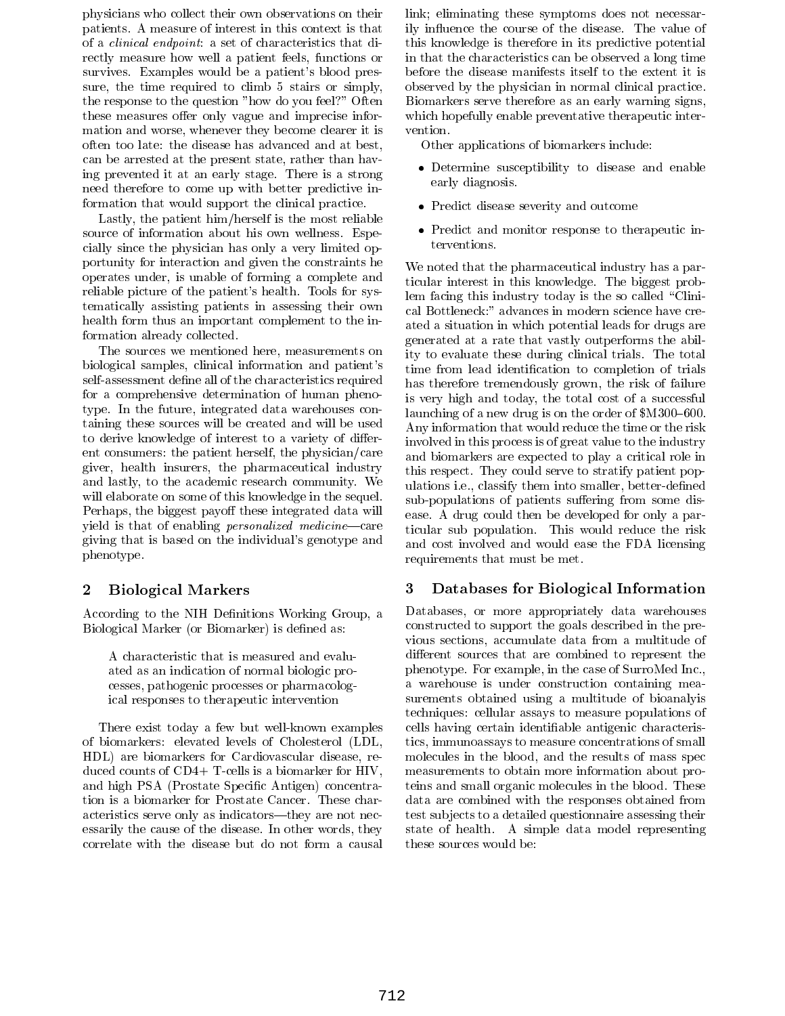physicians who collect their own observations on their patients. A measure of interest in this context is that of a clinical endpoint: a set of characteristics that directly measure how well a patient feels, functions or survives. Examples would be a patient's blood pressure, the time required to climb 5 stairs or simply, the response to the question "how do you feel?" Often these measures offer only vague and imprecise information and worse, whenever they become clearer it is often too late: the disease has advanced and at best, can be arrested at the present state, rather than having prevented it at an early stage. There is a strong need therefore to come up with better predictive information that would support the clinical practice.

Lastly, the patient him/herself is the most reliable source of information about his own wellness. Especially since the physician has only a very limited opportunity for interaction and given the constraints he operates under, is unable of forming a complete and reliable picture of the patient's health. Tools for systematically assisting patients in assessing their own health form thus an important complement to the information already collected.

The sources we mentioned here, measurements on biological samples, clinical information and patient's self-assessment define all of the characteristics required for a comprehensive determination of human phenotype. In the future, integrated data warehouses containing these sources will be created and will be used to derive knowledge of interest to a variety of different consumers: the patient herself, the physician/care giver, health insurers, the pharmaceutical industry and lastly, to the academic research community. We will elaborate on some of this knowledge in the sequel. Perhaps, the biggest payoff these integrated data will yield is that of enabling *personalized medicine*—care giving that is based on the individual's genotype and phenotype.

## 2 Biological Markers

According to the NIH Definitions Working Group, a Biological Marker (or Biomarker) is defined as:

A characteristic that is measured and evaluated as an indication of normal biologic processes, pathogenic processes or pharmacological responses to therapeutic intervention

There exist today a few but well-known examples of biomarkers: elevated levels of Cholesterol (LDL, HDL) are biomarkers for Cardiovascular disease, reduced counts of CD4+ T-cells is a biomarker for HIV, and high PSA (Prostate Specic Antigen) concentration is a biomarker for Prostate Cancer. These characteristics serve only as indicators—they are not necessarily the cause of the disease. In other words, they correlate with the disease but do not form a causal

link; eliminating these symptoms does not necessarily in
uence the course of the disease. The value of this knowledge is therefore in its predictive potential in that the characteristics can be observed a long time before the disease manifests itself to the extent it is observed by the physician in normal clinical practice. Biomarkers serve therefore as an early warning signs, which hopefully enable preventative therapeutic inter vention.

Other applications of biomarkers include:

- $\bullet$  Determine susceptibility to disease and enable early diagnosis.
- $\bullet\,$  Predict disease severity and outcome  $\,$
- $\bullet$  Predict and monitor response to therapeutic interventions.

We noted that the pharmaceutical industry has a particular interest in this knowledge. The biggest problem facing this industry today is the so called "Clinical Bottleneck:" advances in modern science have created a situation in which potential leads for drugs are generated at a rate that vastly outperforms the ability to evaluate these during clinical trials. The total time from lead identication to completion of trials has therefore tremendously grown, the risk of failure is very high and today, the total cost of a successful launching of a new drug is on the order of  $M300{\text -}600$ . Any information that would reduce the time or the risk involved in this process is of great value to the industry and biomarkers are expected to play a critical role in this respect. They could serve to stratify patient populations i.e., classify them into smaller, better-defined sub-populations of patients suffering from some disease. A drug could then be developed for only a particular sub population. This would reduce the risk and cost involved and would ease the FDA licensing requirements that must be met.

### 3 Databases for Biological Information

Databases, or more appropriately data warehouses constructed to support the goals described in the previous sections, accumulate data from a multitude of different sources that are combined to represent the phenotype. For example, in the case of SurroMed Inc., a warehouse is under construction containing measurements obtained using a multitude of bioanalyis techniques: cellular assays to measure populations of cells having certain identiable antigenic characteristics, immunoassays to measure concentrations of small molecules in the blood, and the results of mass spec measurements to obtain more information about proteins and small organic molecules in the blood. These data are combined with the responses obtained from test sub jects to a detailed questionnaire assessing their state of health. A simple data model representing these sources would be: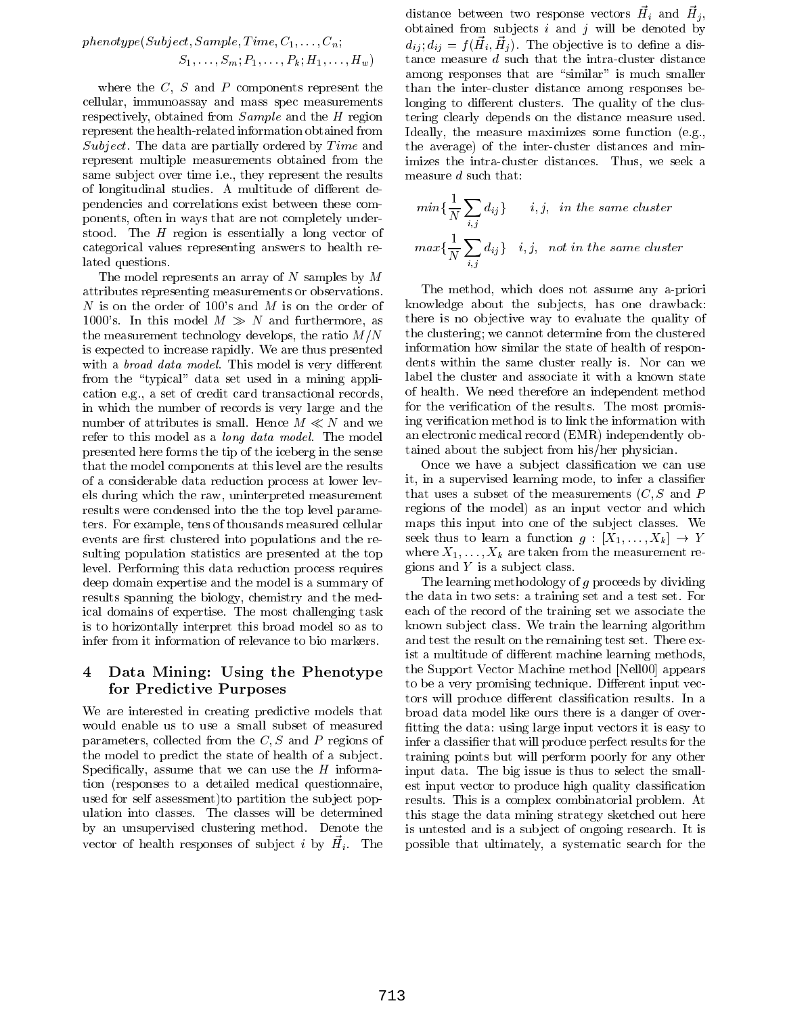$$
phenotype(Subject, Sample, Time, C_1, \ldots, C_n; \\ S_1, \ldots, S_m; P_1, \ldots, P_k; H_1, \ldots, H_w) \hspace{.5cm} \vdots \hspace{.5cm}
$$

where the  $C, S$  and  $P$  components represent the cellular, immunoassay and mass spec measurements respectively, obtained from Sample and the <sup>H</sup> region represent the health-related information obtained from Subject. The data are partially ordered by  $Time$  and represent multiple measurements obtained from the same subject over time i.e., they represent the results of longitudinal studies. A multitude of different dependencies and correlations exist between these components, often in ways that are not completely understood. The  $H$  region is essentially a long vector of categorical values representing answers to health related questions.

The model represents an array of N samples by  $M$ attributes representing measurements or observations.  $N$  is on the order of 100's and  $M$  is on the order of  $\quad$  k 1000's. In this model  $M \gg N$  and furthermore, as the measurement technology develops, the ratio  $M/N$ is expected to increase rapidly. We are thus presented with a *broad data model*. This model is very different from the "typical" data set used in a mining application e.g., a set of credit card transactional records, in which the number of records is very large and the number of attributes is small. Hence  $M \ll N$  and we refer to this model as a long data model. The model presented here forms the tip of the iceberg in the sense that the model components at this level are the results of a considerable data reduction process at lower levels during which the raw, uninterpreted measurement results were condensed into the the top level parameters. For example, tens of thousands measured cellular events are first clustered into populations and the resulting population statistics are presented at the top level. Performing this data reduction process requires deep domain expertise and the model is a summary of results spanning the biology, chemistry and the medical domains of expertise. The most challenging task is to horizontally interpret this broad model so as to infer from it information of relevance to bio markers.

## 4 Data Mining: Using the Phenotype for Predictive Purposes

We are interested in creating predictive models that would enable us to use a small subset of measured parameters, collected from the  $C, S$  and P regions of the model to predict the state of health of a sub ject. Specifically, assume that we can use the  $H$  information (responses to a detailed medical questionnaire, used for self assessment)to partition the sub ject population into classes. The classes will be determined by an unsupervised clustering method. Denote the vector of health responses of subject  $i$  by  $H_i$ . The pos

distance between two response vectors  $H_i$  and  $H_j$ , obtained from subjects i and j will be denoted by  $u_{ij}, u_{ij} = f(u_i, u_{ij})$ . The objective is to define a distance measure <sup>d</sup> such that the intra-cluster distance among responses that are "similar" is much smaller than the inter-cluster distance among responses belonging to different clusters. The quality of the clustering clearly depends on the distance measure used. Ideally, the measure maximizes some function (e.g., the average) of the inter-cluster distances and minimizes the intra-cluster distances. Thus, we seek a measure <sup>d</sup> such that:

$$
min\{\frac{1}{N}\sum_{i,j}d_{ij}\}\qquad i,j,\ \ in\ the\ same\ cluster\\max\{\frac{1}{N}\sum_{i,j}d_{ij}\}\quad i,j,\ \ not\ in\ the\ same\ cluster
$$

The method, which does not assume any a-priori knowledge about the sub jects, has one drawback: there is no objective way to evaluate the quality of the clustering; we cannot determine from the clustered information how similar the state of health of respondents within the same cluster really is. Nor can we label the cluster and associate it with a known state of health. We need therefore an independent method for the verification of the results. The most promising verification method is to link the information with an electronic medical record (EMR) independently obtained about the sub ject from his/her physician.

Once we have a subject classification we can use it, in a supervised learning mode, to infer a classier that uses a subset of the measurements  $(C, S$  and P regions of the model) as an input vector and which maps this input into one of the sub ject classes. We seek thus to learn a function  $g : [X_1, \ldots, X_k] \rightarrow Y$ where  $X_1,\ldots,X_k$  are taken from the measurement regions and  $Y$  is a subject class.

The learning methodology of g proceeds by dividing the data in two sets: a training set and a test set. For each of the record of the training set we associate the known sub ject class. We train the learning algorithm and test the result on the remaining test set. There exist a multitude of different machine learning methods, the Support Vector Machine method [Nell00] appears to be a very promising technique. Different input vectors will produce different classification results. In a broad data model like ours there is a danger of over fitting the data: using large input vectors it is easy to infer a classier that will produce perfect results for the training points but will perform poorly for any other input data. The big issue is thus to select the smallest input vector to produce high quality classication results. This is a complex combinatorial problem. At this stage the data mining strategy sketched out here is untested and is a sub ject of ongoing research. It is possible that ultimately, a systematic search for the